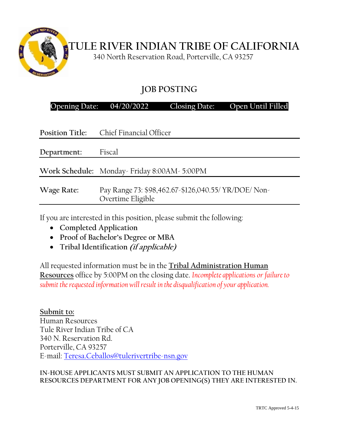

**TULE RIVER INDIAN TRIBE OF CALIFORNIA**

340 North Reservation Road, Porterville, CA 93257

# **JOB POSTING**

**Opening Date: 04/20/2022 Closing Date: Open Until Filled**

| <b>Position Title:</b> | Chief Financial Officer                                                   |
|------------------------|---------------------------------------------------------------------------|
| Department:            | Fiscal                                                                    |
|                        | Work Schedule: Monday-Friday 8:00AM-5:00PM                                |
| Wage Rate:             | Pay Range 73: \$98,462.67-\$126,040.55/ YR/DOE/ Non-<br>Overtime Eligible |
|                        |                                                                           |

If you are interested in this position, please submit the following:

- **Completed Application**
- **Proof of Bachelor's Degree or MBA**
- **Tribal Identification (if applicable)**

All requested information must be in the **Tribal Administration Human Resources** office by 5:00PM on the closing date. *Incomplete applications or failure to submit the requested information will result in the disqualification of your application.*

**Submit to:**  Human Resources Tule River Indian Tribe of CA 340 N. Reservation Rd. Porterville, CA 93257 E-mail: [Teresa.Ceballos@tulerivertribe-nsn.gov](mailto:Teresa.Ceballos@tulerivertribe-nsn.gov)

### **IN-HOUSE APPLICANTS MUST SUBMIT AN APPLICATION TO THE HUMAN RESOURCES DEPARTMENT FOR ANY JOB OPENING(S) THEY ARE INTERESTED IN.**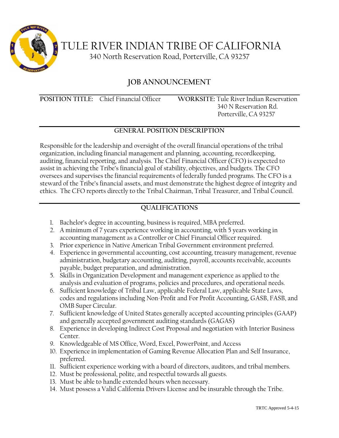

TULE RIVER INDIAN TRIBE OF CALIFORNIA 340 North Reservation Road, Porterville, CA 93257

## **JOB ANNOUNCEMENT**

**POSITION TITLE:** Chief Financial Officer **WORKSITE:** Tule River Indian Reservation 340 N Reservation Rd. Porterville, CA 93257

## **GENERAL POSITION DESCRIPTION**

Responsible for the leadership and oversight of the overall financial operations of the tribal organization, including financial management and planning, accounting, recordkeeping, auditing, financial reporting, and analysis. The Chief Financial Officer (CFO) is expected to assist in achieving the Tribe's financial goal of stability, objectives, and budgets. The CFO oversees and supervises the financial requirements of federally funded programs. The CFO is a steward of the Tribe's financial assets, and must demonstrate the highest degree of integrity and ethics. The CFO reports directly to the Tribal Chairman, Tribal Treasurer, and Tribal Council.

## **QUALIFICATIONS**

- 1. Bachelor's degree in accounting, business is required, MBA preferred.
- 2. A minimum of 7 years experience working in accounting, with 5 years working in accounting management as a Controller or Chief Financial Officer required.
- 3. Prior experience in Native American Tribal Government environment preferred.
- 4. Experience in governmental accounting, cost accounting, treasury management, revenue administration, budgetary accounting, auditing, payroll, accounts receivable, accounts payable, budget preparation, and administration.
- 5. Skills in Organization Development and management experience as applied to the analysis and evaluation of programs, policies and procedures, and operational needs.
- 6. Sufficient knowledge of Tribal Law, applicable Federal Law, applicable State Laws, codes and regulations including Non-Profit and For Profit Accounting, GASB, FASB, and OMB Super Circular.
- 7. Sufficient knowledge of United States generally accepted accounting principles (GAAP) and generally accepted government auditing standards (GAGAS)
- 8. Experience in developing Indirect Cost Proposal and negotiation with Interior Business Center.
- 9. Knowledgeable of MS Office, Word, Excel, PowerPoint, and Access
- 10. Experience in implementation of Gaming Revenue Allocation Plan and Self Insurance, preferred.
- 11. Sufficient experience working with a board of directors, auditors, and tribal members.
- 12. Must be professional, polite, and respectful towards all guests.
- 13. Must be able to handle extended hours when necessary.
- 14. Must possess a Valid California Drivers License and be insurable through the Tribe.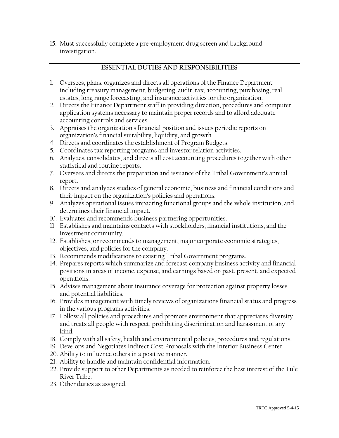15. Must successfully complete a pre-employment drug screen and background investigation.

#### **ESSENTIAL DUTIES AND RESPONSIBILITIES**

- 1. Oversees, plans, organizes and directs all operations of the Finance Department including treasury management, budgeting, audit, tax, accounting, purchasing, real estates, long range forecasting, and insurance activities for the organization.
- 2. Directs the Finance Department staff in providing direction, procedures and computer application systems necessary to maintain proper records and to afford adequate accounting controls and services.
- 3. Appraises the organization's financial position and issues periodic reports on organization's financial suitability, liquidity, and growth.
- 4. Directs and coordinates the establishment of Program Budgets.
- 5. Coordinates tax reporting programs and investor relation activities.
- 6. Analyzes, consolidates, and directs all cost accounting procedures together with other statistical and routine reports.
- 7. Oversees and directs the preparation and issuance of the Tribal Government's annual report.
- 8. Directs and analyzes studies of general economic, business and financial conditions and their impact on the organization's policies and operations.
- 9. Analyzes operational issues impacting functional groups and the whole institution, and determines their financial impact.
- 10. Evaluates and recommends business partnering opportunities.
- 11. Establishes and maintains contacts with stockholders, financial institutions, and the investment community.
- 12. Establishes, or recommends to management, major corporate economic strategies, objectives, and policies for the company.
- 13. Recommends modifications to existing Tribal Government programs.
- 14. Prepares reports which summarize and forecast company business activity and financial positions in areas of income, expense, and earnings based on past, present, and expected operations.
- 15. Advises management about insurance coverage for protection against property losses and potential liabilities.
- 16. Provides management with timely reviews of organizations financial status and progress in the various programs activities.
- 17. Follow all policies and procedures and promote environment that appreciates diversity and treats all people with respect, prohibiting discrimination and harassment of any kind.
- 18. Comply with all safety, health and environmental policies, procedures and regulations.
- 19. Develops and Negotiates Indirect Cost Proposals with the Interior Business Center.
- 20. Ability to influence others in a positive manner.
- 21. Ability to handle and maintain confidential information.
- 22. Provide support to other Departments as needed to reinforce the best interest of the Tule River Tribe.
- 23. Other duties as assigned.